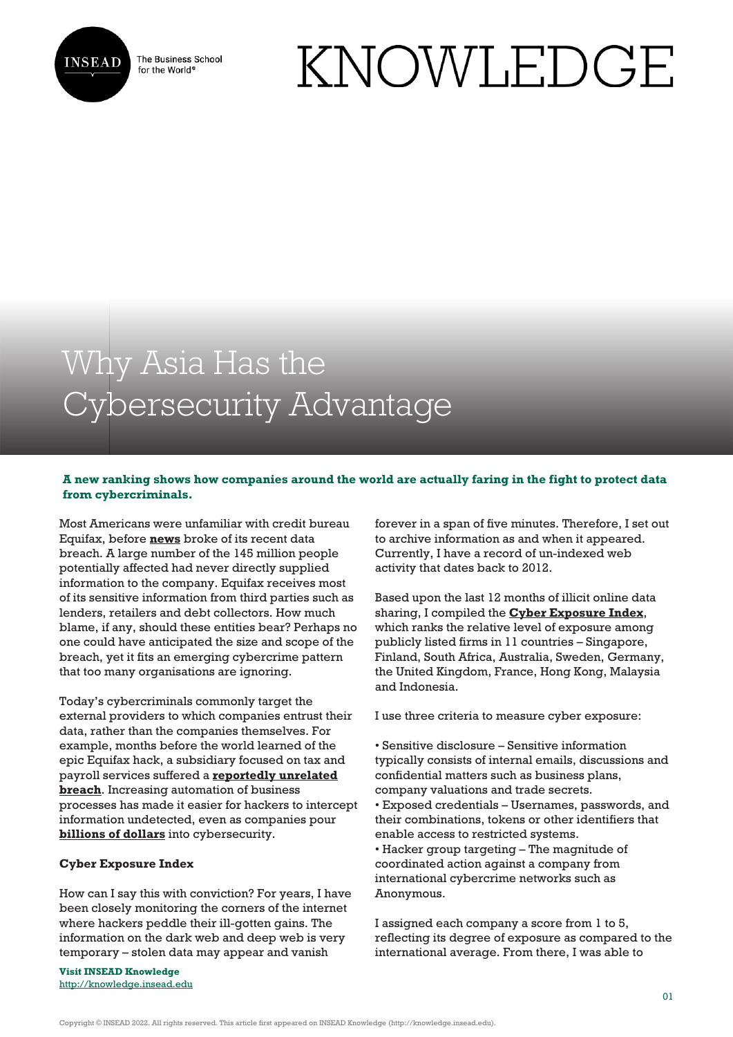

The Business School for the World<sup>®</sup>

# KNOWLEDGE

# Why Asia Has the Cybersecurity Advantage

## **A new ranking shows how companies around the world are actually faring in the fight to protect data from cybercriminals.**

Most Americans were unfamiliar with credit bureau Equifax, before **[news](http://www.bbc.com/news/business-41474329)** broke of its recent data breach. A large number of the 145 million people potentially affected had never directly supplied information to the company. Equifax receives most of its sensitive information from third parties such as lenders, retailers and debt collectors. How much blame, if any, should these entities bear? Perhaps no one could have anticipated the size and scope of the breach, yet it fits an emerging cybercrime pattern that too many organisations are ignoring.

Today's cybercriminals commonly target the external providers to which companies entrust their data, rather than the companies themselves. For example, months before the world learned of the epic Equifax hack, a subsidiary focused on tax and payroll services suffered a **[reportedly unrelated](http://money.cnn.com/2017/09/18/technology/business/equifax-breach-march-earlier/index.html) [breach](http://money.cnn.com/2017/09/18/technology/business/equifax-breach-march-earlier/index.html)**. Increasing automation of business processes has made it easier for hackers to intercept information undetected, even as companies pour **[billions of dollars](http://fortune.com/2016/10/12/cybersecurity-global-spending/)** into cybersecurity.

### **Cyber Exposure Index**

How can I say this with conviction? For years, I have been closely monitoring the corners of the internet where hackers peddle their ill-gotten gains. The information on the dark web and deep web is very temporary – stolen data may appear and vanish

**Visit INSEAD Knowledge** <http://knowledge.insead.edu> forever in a span of five minutes. Therefore, I set out to archive information as and when it appeared. Currently, I have a record of un-indexed web activity that dates back to 2012.

Based upon the last 12 months of illicit online data sharing, I compiled the **[Cyber Exposure Index](https://cyberexposureindex.com/)**, which ranks the relative level of exposure among publicly listed firms in 11 countries – Singapore, Finland, South Africa, Australia, Sweden, Germany, the United Kingdom, France, Hong Kong, Malaysia and Indonesia.

I use three criteria to measure cyber exposure:

- Sensitive disclosure Sensitive information typically consists of internal emails, discussions and confidential matters such as business plans, company valuations and trade secrets.
- Exposed credentials Usernames, passwords, and their combinations, tokens or other identifiers that enable access to restricted systems.
- Hacker group targeting The magnitude of coordinated action against a company from international cybercrime networks such as Anonymous.

I assigned each company a score from 1 to 5, reflecting its degree of exposure as compared to the international average. From there, I was able to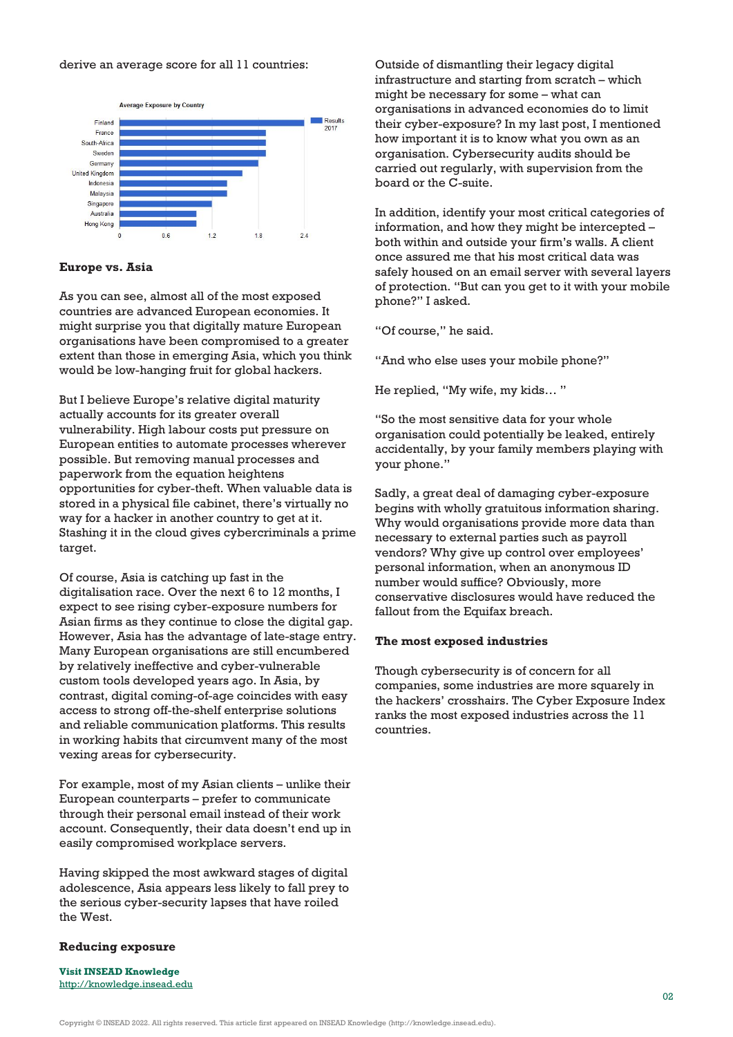#### derive an average score for all 11 countries:



#### **Europe vs. Asia**

As you can see, almost all of the most exposed countries are advanced European economies. It might surprise you that digitally mature European organisations have been compromised to a greater extent than those in emerging Asia, which you think would be low-hanging fruit for global hackers.

But I believe Europe's relative digital maturity actually accounts for its greater overall vulnerability. High labour costs put pressure on European entities to automate processes wherever possible. But removing manual processes and paperwork from the equation heightens opportunities for cyber-theft. When valuable data is stored in a physical file cabinet, there's virtually no way for a hacker in another country to get at it. Stashing it in the cloud gives cybercriminals a prime target.

Of course, Asia is catching up fast in the digitalisation race. Over the next 6 to 12 months, I expect to see rising cyber-exposure numbers for Asian firms as they continue to close the digital gap. However, Asia has the advantage of late-stage entry. Many European organisations are still encumbered by relatively ineffective and cyber-vulnerable custom tools developed years ago. In Asia, by contrast, digital coming-of-age coincides with easy access to strong off-the-shelf enterprise solutions and reliable communication platforms. This results in working habits that circumvent many of the most vexing areas for cybersecurity.

For example, most of my Asian clients – unlike their European counterparts – prefer to communicate through their personal email instead of their work account. Consequently, their data doesn't end up in easily compromised workplace servers.

Having skipped the most awkward stages of digital adolescence, Asia appears less likely to fall prey to the serious cyber-security lapses that have roiled the West.

#### **Reducing exposure**

**Visit INSEAD Knowledge** http://knowledge.insead.edu

Outside of dismantling their legacy digital infrastructure and starting from scratch – which might be necessary for some – what can organisations in advanced economies do to limit their cyber-exposure? In my last post, I mentioned how important it is to know what you own as an organisation. Cybersecurity audits should be carried out regularly, with supervision from the board or the C-suite.

In addition, identify your most critical categories of information, and how they might be intercepted – both within and outside your firm's walls. A client once assured me that his most critical data was safely housed on an email server with several layers of protection. "But can you get to it with your mobile phone?" I asked.

"Of course," he said.

"And who else uses your mobile phone?"

He replied, "My wife, my kids… "

"So the most sensitive data for your whole organisation could potentially be leaked, entirely accidentally, by your family members playing with your phone."

Sadly, a great deal of damaging cyber-exposure begins with wholly gratuitous information sharing. Why would organisations provide more data than necessary to external parties such as payroll vendors? Why give up control over employees' personal information, when an anonymous ID number would suffice? Obviously, more conservative disclosures would have reduced the fallout from the Equifax breach.

#### **The most exposed industries**

Though cybersecurity is of concern for all companies, some industries are more squarely in the hackers' crosshairs. The Cyber Exposure Index ranks the most exposed industries across the 11 countries.

Copyright © INSEAD 2022. All rights reserved. This article first appeared on INSEAD Knowledge (http://knowledge.insead.edu).